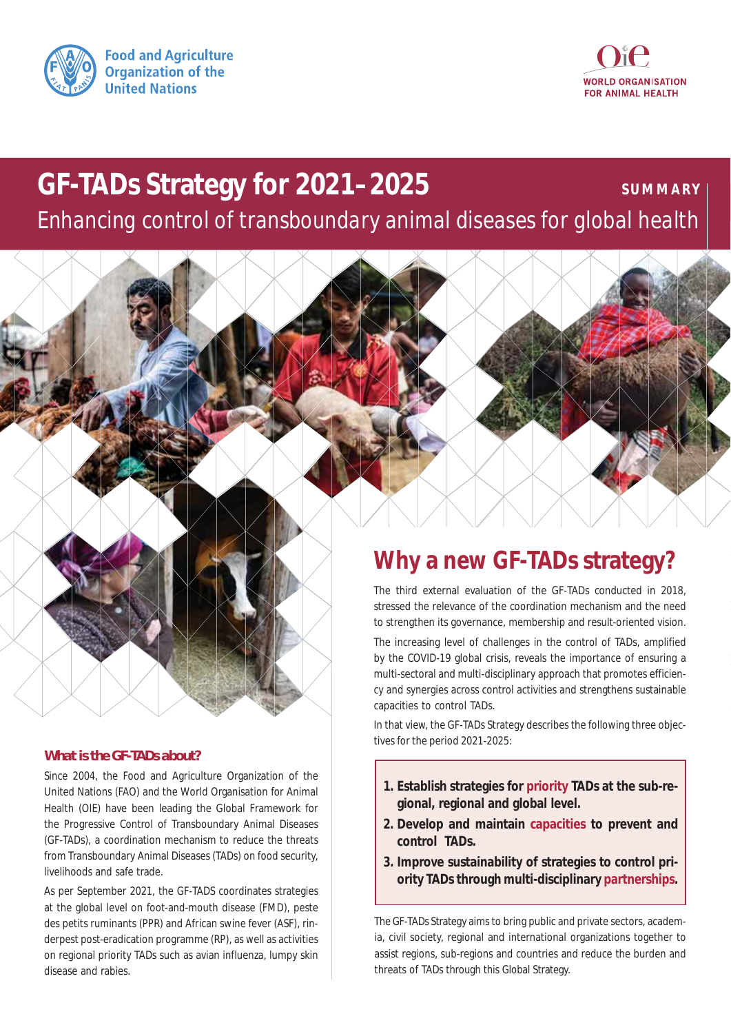



# **GF-TADs Strategy for 2021–2025**

**SUMMARY**

*Enhancing control of transboundary animal diseases for global health*



Since 2004, the Food and Agriculture Organization of the United Nations (FAO) and the World Organisation for Animal Health (OIE) have been leading the Global Framework for the Progressive Control of Transboundary Animal Diseases (GF-TADs), a coordination mechanism to reduce the threats from Transboundary Animal Diseases (TADs) on food security, livelihoods and safe trade.

As per September 2021, the GF-TADS coordinates strategies at the global level on foot-and-mouth disease (FMD), peste des petits ruminants (PPR) and African swine fever (ASF), rinderpest post-eradication programme (RP), as well as activities on regional priority TADs such as avian influenza, lumpy skin disease and rabies.

## **Why a new GF-TADs strategy?**

The third external evaluation of the GF-TADs conducted in 2018, stressed the relevance of the coordination mechanism and the need to strengthen its governance, membership and result-oriented vision.

The increasing level of challenges in the control of TADs, amplified by the COVID-19 global crisis, reveals the importance of ensuring a multi-sectoral and multi-disciplinary approach that promotes efficiency and synergies across control activities and strengthens sustainable capacities to control TADs.

In that view, the GF-TADs Strategy describes the following three objectives for the period 2021-2025:

- **1. Establish strategies for priority TADs at the sub-regional, regional and global level.**
- **2. Develop and maintain capacities to prevent and control TADs.**
- **3. Improve sustainability of strategies to control priority TADs through multi-disciplinary partnerships.**

The GF-TADs Strategy aims to bring public and private sectors, academia, civil society, regional and international organizations together to assist regions, sub-regions and countries and reduce the burden and threats of TADs through this Global Strategy.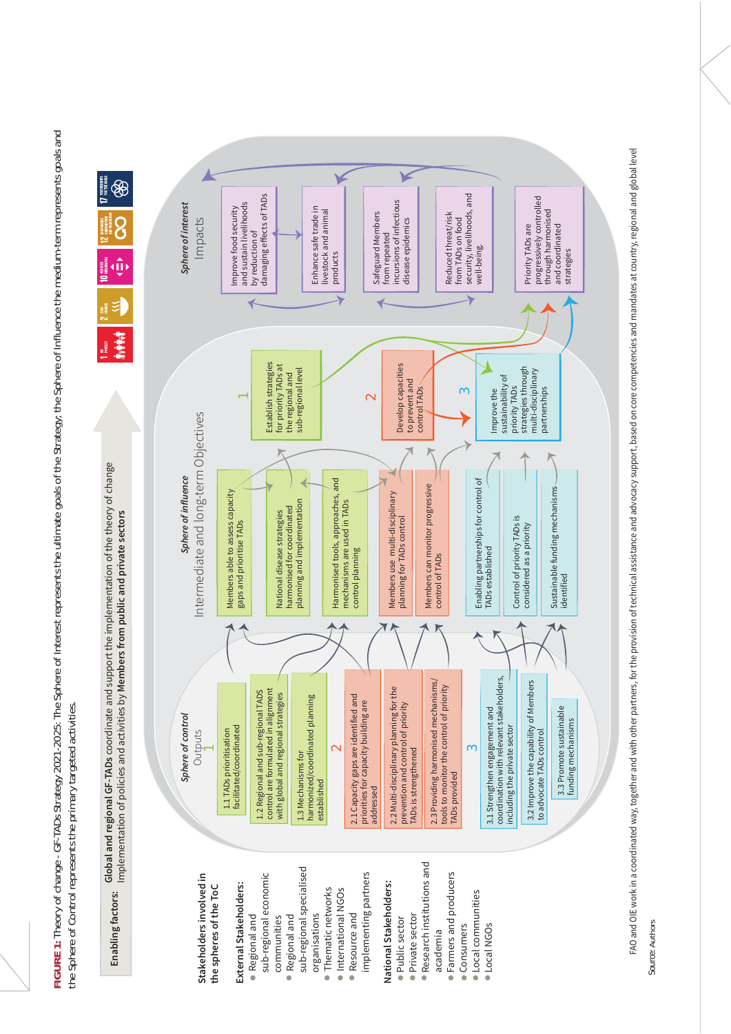FIGURE 1: Theory of change - GF-TADs Strategy 2021-2025: The Sphere of Interest represents the ultimate goals of the Strategy; the Sphere of Influence the medium-term represents goals and **FIGURE 1:** Theory of change - GF-TADs Strategy 2021-2025: The Sphere of Interest represents the ultimate goals of the Strategy; the Sphere of Influence the medium-term represents goals and the Sphere of Control represents the primary targeted activities. the Sphere of Control represents the primary targeted activities.







FAO and OIE work in a coordinated way, together and with other partners, for the provision of technical assistance and advocacy support, based on core competencies and mandates at country, regional and global level FAO and OIE work in a coordinated way, together and with other partners, for the provision of technical assistance and advocacy support, based on core competencies and mandates at country, regional and global level

Source: Authors *Source:* Authors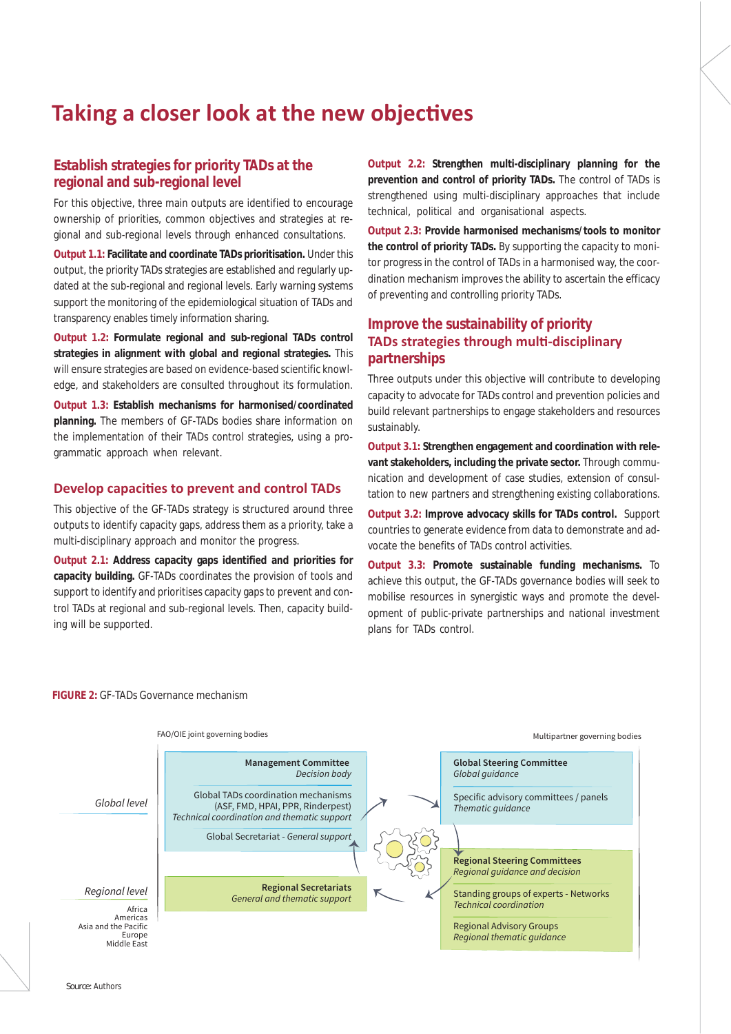## Taking a closer look at the new objectives

## **Establish strategies for priority TADs at the regional and sub-regional level**

For this objective, three main outputs are identified to encourage ownership of priorities, common objectives and strategies at regional and sub-regional levels through enhanced consultations.

**Output 1.1: Facilitate and coordinate TADs prioritisation.** Under this output, the priority TADs strategies are established and regularly updated at the sub-regional and regional levels. Early warning systems support the monitoring of the epidemiological situation of TADs and transparency enables timely information sharing.

**Output 1.2: Formulate regional and sub-regional TADs control strategies in alignment with global and regional strategies.** This will ensure strategies are based on evidence-based scientific knowledge, and stakeholders are consulted throughout its formulation.

**Output 1.3: Establish mechanisms for harmonised/coordinated planning.** The members of GF-TADs bodies share information on the implementation of their TADs control strategies, using a programmatic approach when relevant.

## **Develop capacities to prevent and control TADs**

This objective of the GF-TADs strategy is structured around three outputs to identify capacity gaps, address them as a priority, take a multi-disciplinary approach and monitor the progress.

**Output 2.1: Address capacity gaps identified and priorities for capacity building.** GF-TADs coordinates the provision of tools and support to identify and prioritises capacity gaps to prevent and control TADs at regional and sub-regional levels. Then, capacity building will be supported.

**Output 2.2: Strengthen multi-disciplinary planning for the prevention and control of priority TADs.** The control of TADs is strengthened using multi-disciplinary approaches that include technical, political and organisational aspects.

**Output 2.3: Provide harmonised mechanisms/tools to monitor the control of priority TADs.** By supporting the capacity to monitor progress in the control of TADs in a harmonised way, the coordination mechanism improves the ability to ascertain the efficacy of preventing and controlling priority TADs.

## **Improve the sustainability of priority TADs strategies through multi-disciplinary partnerships**

Three outputs under this objective will contribute to developing capacity to advocate for TADs control and prevention policies and build relevant partnerships to engage stakeholders and resources sustainably.

**Output 3.1: Strengthen engagement and coordination with relevant stakeholders, including the private sector.** Through communication and development of case studies, extension of consultation to new partners and strengthening existing collaborations.

**Output 3.2: Improve advocacy skills for TADs control.** Support countries to generate evidence from data to demonstrate and advocate the benefits of TADs control activities.

**Output 3.3: Promote sustainable funding mechanisms.** To achieve this output, the GF-TADs governance bodies will seek to mobilise resources in synergistic ways and promote the development of public-private partnerships and national investment plans for TADs control.

#### **FIGURE 2:** GF-TADs Governance mechanism